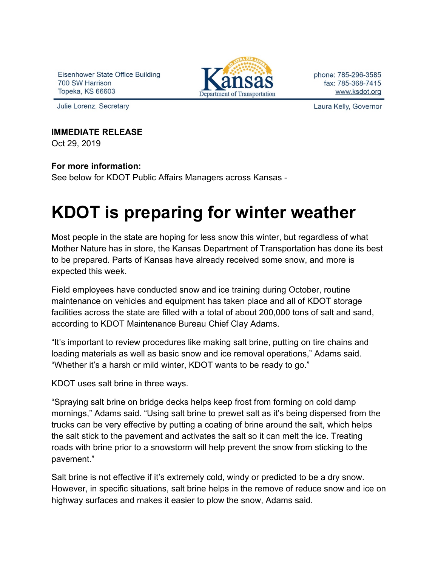Eisenhower State Office Building 700 SW Harrison Topeka, KS 66603

Julie Lorenz, Secretary



phone: 785-296-3585 fax: 785-368-7415 www.ksdot.org

Laura Kelly, Governor

## **IMMEDIATE RELEASE**

Oct 29, 2019

## **For more information:**

See below for KDOT Public Affairs Managers across Kansas -

## **KDOT is preparing for winter weather**

Most people in the state are hoping for less snow this winter, but regardless of what Mother Nature has in store, the Kansas Department of Transportation has done its best to be prepared. Parts of Kansas have already received some snow, and more is expected this week.

Field employees have conducted snow and ice training during October, routine maintenance on vehicles and equipment has taken place and all of KDOT storage facilities across the state are filled with a total of about 200,000 tons of salt and sand, according to KDOT Maintenance Bureau Chief Clay Adams.

"It's important to review procedures like making salt brine, putting on tire chains and loading materials as well as basic snow and ice removal operations," Adams said. "Whether it's a harsh or mild winter, KDOT wants to be ready to go."

KDOT uses salt brine in three ways.

"Spraying salt brine on bridge decks helps keep frost from forming on cold damp mornings," Adams said. "Using salt brine to prewet salt as it's being dispersed from the trucks can be very effective by putting a coating of brine around the salt, which helps the salt stick to the pavement and activates the salt so it can melt the ice. Treating roads with brine prior to a snowstorm will help prevent the snow from sticking to the pavement."

Salt brine is not effective if it's extremely cold, windy or predicted to be a dry snow. However, in specific situations, salt brine helps in the remove of reduce snow and ice on highway surfaces and makes it easier to plow the snow, Adams said.